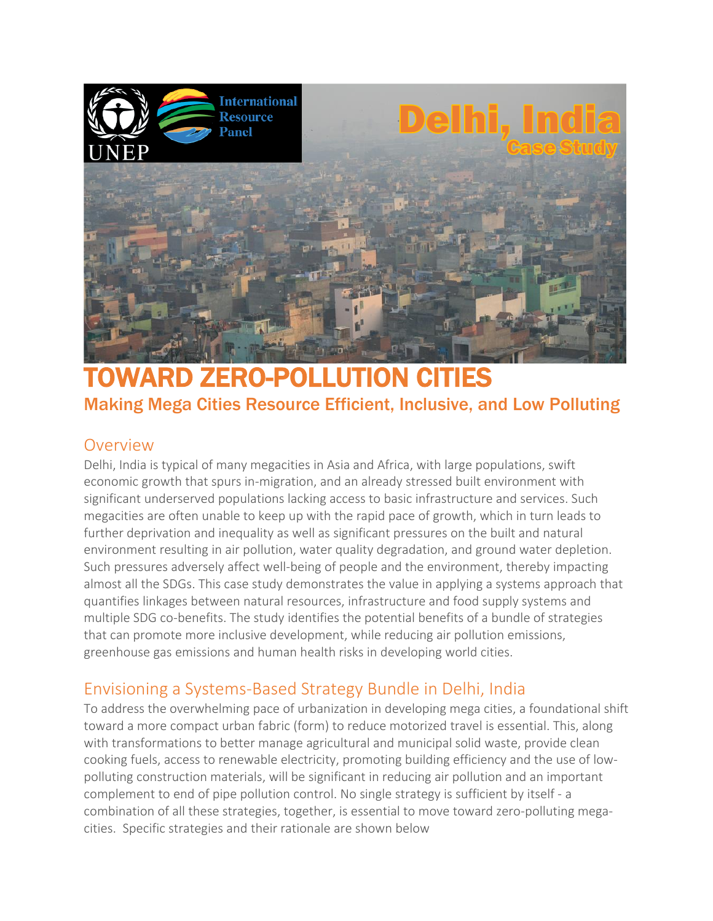

# TOWARD ZERO-POLLUTION Making Mega Cities Resource Efficient, Inclusive, and Low Polluting

## Overview

Delhi, India is typical of many megacities in Asia and Africa, with large populations, swift economic growth that spurs in-migration, and an already stressed built environment with significant underserved populations lacking access to basic infrastructure and services. Such megacities are often unable to keep up with the rapid pace of growth, which in turn leads to further deprivation and inequality as well as significant pressures on the built and natural environment resulting in air pollution, water quality degradation, and ground water depletion. Such pressures adversely affect well-being of people and the environment, thereby impacting almost all the SDGs. This case study demonstrates the value in applying a systems approach that quantifies linkages between natural resources, infrastructure and food supply systems and multiple SDG co-benefits. The study identifies the potential benefits of a bundle of strategies that can promote more inclusive development, while reducing air pollution emissions, greenhouse gas emissions and human health risks in developing world cities.

# Envisioning a Systems-Based Strategy Bundle in Delhi, India

To address the overwhelming pace of urbanization in developing mega cities, a foundational shift toward a more compact urban fabric (form) to reduce motorized travel is essential. This, along with transformations to better manage agricultural and municipal solid waste, provide clean cooking fuels, access to renewable electricity, promoting building efficiency and the use of lowpolluting construction materials, will be significant in reducing air pollution and an important complement to end of pipe pollution control. No single strategy is sufficient by itself - a combination of all these strategies, together, is essential to move toward zero-polluting megacities. Specific strategies and their rationale are shown below